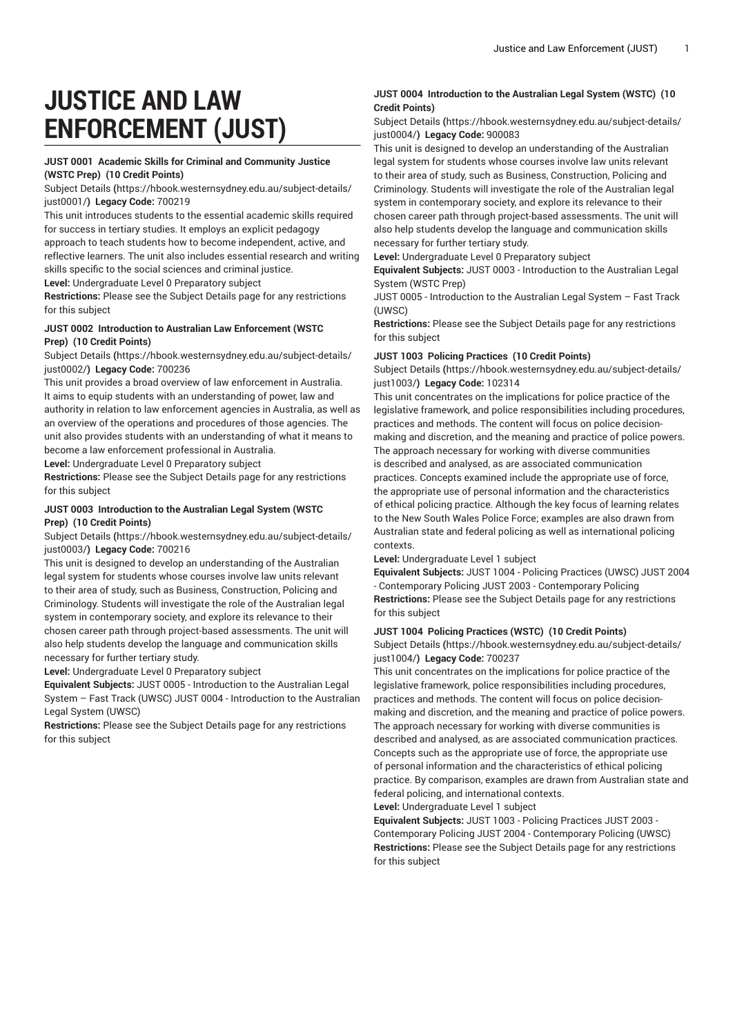# **JUSTICE AND LAW ENFORCEMENT (JUST)**

#### **JUST 0001 Academic Skills for Criminal and Community Justice (WSTC Prep) (10 Credit Points)**

[Subject Details](https://hbook.westernsydney.edu.au/subject-details/just0001/) **(**[https://hbook.westernsydney.edu.au/subject-details/](https://hbook.westernsydney.edu.au/subject-details/just0001/) [just0001/](https://hbook.westernsydney.edu.au/subject-details/just0001/)**) Legacy Code:** 700219

This unit introduces students to the essential academic skills required for success in tertiary studies. It employs an explicit pedagogy approach to teach students how to become independent, active, and reflective learners. The unit also includes essential research and writing skills specific to the social sciences and criminal justice.

**Level:** Undergraduate Level 0 Preparatory subject

**Restrictions:** Please see the Subject Details page for any restrictions for this subject

# **JUST 0002 Introduction to Australian Law Enforcement (WSTC Prep) (10 Credit Points)**

[Subject Details](https://hbook.westernsydney.edu.au/subject-details/just0002/) **(**[https://hbook.westernsydney.edu.au/subject-details/](https://hbook.westernsydney.edu.au/subject-details/just0002/) [just0002/](https://hbook.westernsydney.edu.au/subject-details/just0002/)**) Legacy Code:** 700236

This unit provides a broad overview of law enforcement in Australia. It aims to equip students with an understanding of power, law and authority in relation to law enforcement agencies in Australia, as well as an overview of the operations and procedures of those agencies. The unit also provides students with an understanding of what it means to become a law enforcement professional in Australia.

**Level:** Undergraduate Level 0 Preparatory subject

**Restrictions:** Please see the Subject Details page for any restrictions for this subject

## **JUST 0003 Introduction to the Australian Legal System (WSTC Prep) (10 Credit Points)**

[Subject Details](https://hbook.westernsydney.edu.au/subject-details/just0003/) **(**[https://hbook.westernsydney.edu.au/subject-details/](https://hbook.westernsydney.edu.au/subject-details/just0003/) [just0003/](https://hbook.westernsydney.edu.au/subject-details/just0003/)**) Legacy Code:** 700216

This unit is designed to develop an understanding of the Australian legal system for students whose courses involve law units relevant to their area of study, such as Business, Construction, Policing and Criminology. Students will investigate the role of the Australian legal system in contemporary society, and explore its relevance to their chosen career path through project-based assessments. The unit will also help students develop the language and communication skills necessary for further tertiary study.

**Level:** Undergraduate Level 0 Preparatory subject

**Equivalent Subjects:** JUST 0005 - Introduction to the Australian Legal System – Fast Track (UWSC) JUST 0004 - Introduction to the Australian Legal System (UWSC)

**Restrictions:** Please see the Subject Details page for any restrictions for this subject

# **JUST 0004 Introduction to the Australian Legal System (WSTC) (10 Credit Points)**

[Subject Details](https://hbook.westernsydney.edu.au/subject-details/just0004/) **(**[https://hbook.westernsydney.edu.au/subject-details/](https://hbook.westernsydney.edu.au/subject-details/just0004/) [just0004/](https://hbook.westernsydney.edu.au/subject-details/just0004/)**) Legacy Code:** 900083

This unit is designed to develop an understanding of the Australian legal system for students whose courses involve law units relevant to their area of study, such as Business, Construction, Policing and Criminology. Students will investigate the role of the Australian legal system in contemporary society, and explore its relevance to their chosen career path through project-based assessments. The unit will also help students develop the language and communication skills necessary for further tertiary study.

**Level:** Undergraduate Level 0 Preparatory subject

**Equivalent Subjects:** JUST 0003 - Introduction to the Australian Legal System (WSTC Prep)

JUST 0005 - Introduction to the Australian Legal System – Fast Track (UWSC)

**Restrictions:** Please see the Subject Details page for any restrictions for this subject

#### **JUST 1003 Policing Practices (10 Credit Points)**

[Subject Details](https://hbook.westernsydney.edu.au/subject-details/just1003/) **(**[https://hbook.westernsydney.edu.au/subject-details/](https://hbook.westernsydney.edu.au/subject-details/just1003/) [just1003/](https://hbook.westernsydney.edu.au/subject-details/just1003/)**) Legacy Code:** 102314

This unit concentrates on the implications for police practice of the legislative framework, and police responsibilities including procedures, practices and methods. The content will focus on police decisionmaking and discretion, and the meaning and practice of police powers. The approach necessary for working with diverse communities is described and analysed, as are associated communication practices. Concepts examined include the appropriate use of force, the appropriate use of personal information and the characteristics of ethical policing practice. Although the key focus of learning relates to the New South Wales Police Force; examples are also drawn from

Australian state and federal policing as well as international policing contexts.

**Level:** Undergraduate Level 1 subject

**Equivalent Subjects:** JUST 1004 - Policing Practices (UWSC) JUST 2004 - Contemporary Policing JUST 2003 - Contemporary Policing **Restrictions:** Please see the Subject Details page for any restrictions for this subject

# **JUST 1004 Policing Practices (WSTC) (10 Credit Points)**

[Subject Details](https://hbook.westernsydney.edu.au/subject-details/just1004/) **(**[https://hbook.westernsydney.edu.au/subject-details/](https://hbook.westernsydney.edu.au/subject-details/just1004/) [just1004/](https://hbook.westernsydney.edu.au/subject-details/just1004/)**) Legacy Code:** 700237

This unit concentrates on the implications for police practice of the legislative framework, police responsibilities including procedures, practices and methods. The content will focus on police decisionmaking and discretion, and the meaning and practice of police powers. The approach necessary for working with diverse communities is described and analysed, as are associated communication practices. Concepts such as the appropriate use of force, the appropriate use of personal information and the characteristics of ethical policing practice. By comparison, examples are drawn from Australian state and federal policing, and international contexts.

**Level:** Undergraduate Level 1 subject

**Equivalent Subjects:** JUST 1003 - Policing Practices JUST 2003 - Contemporary Policing JUST 2004 - Contemporary Policing (UWSC) **Restrictions:** Please see the Subject Details page for any restrictions for this subject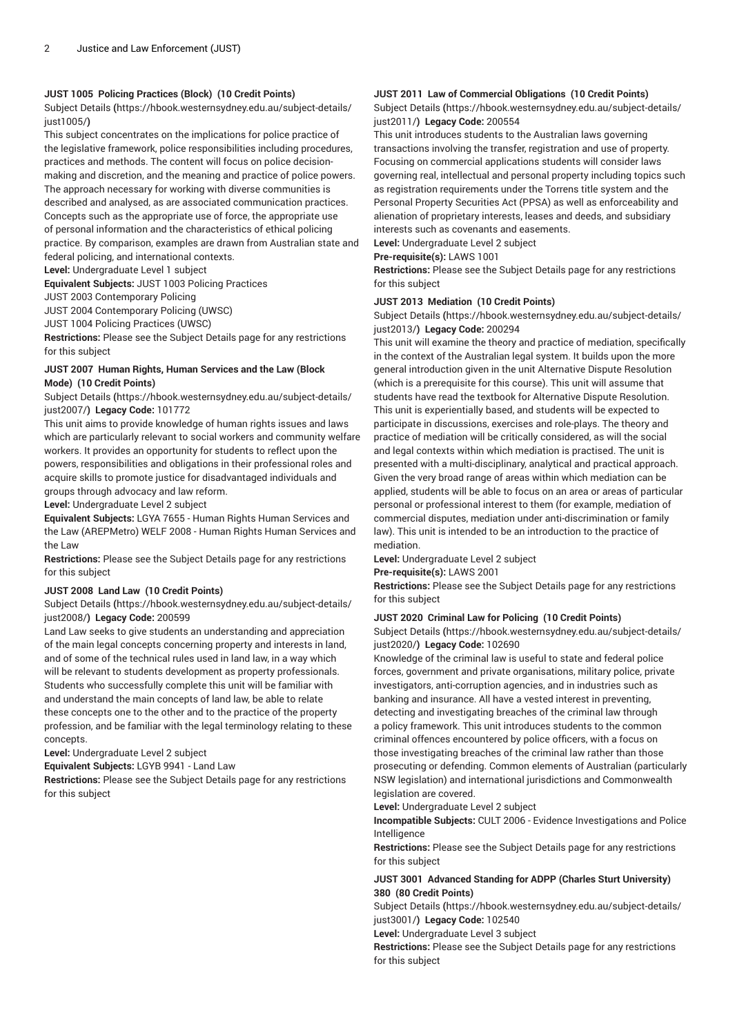## **JUST 1005 Policing Practices (Block) (10 Credit Points)**

[Subject Details](https://hbook.westernsydney.edu.au/subject-details/just1005/) **(**[https://hbook.westernsydney.edu.au/subject-details/](https://hbook.westernsydney.edu.au/subject-details/just1005/) [just1005/](https://hbook.westernsydney.edu.au/subject-details/just1005/)**)**

This subject concentrates on the implications for police practice of the legislative framework, police responsibilities including procedures, practices and methods. The content will focus on police decisionmaking and discretion, and the meaning and practice of police powers. The approach necessary for working with diverse communities is described and analysed, as are associated communication practices. Concepts such as the appropriate use of force, the appropriate use of personal information and the characteristics of ethical policing practice. By comparison, examples are drawn from Australian state and federal policing, and international contexts.

**Level:** Undergraduate Level 1 subject **Equivalent Subjects:** JUST 1003 Policing Practices

JUST 2003 Contemporary Policing

JUST 2004 Contemporary Policing (UWSC)

JUST 1004 Policing Practices (UWSC)

**Restrictions:** Please see the Subject Details page for any restrictions for this subject

## **JUST 2007 Human Rights, Human Services and the Law (Block Mode) (10 Credit Points)**

[Subject Details](https://hbook.westernsydney.edu.au/subject-details/just2007/) **(**[https://hbook.westernsydney.edu.au/subject-details/](https://hbook.westernsydney.edu.au/subject-details/just2007/) [just2007/](https://hbook.westernsydney.edu.au/subject-details/just2007/)**) Legacy Code:** 101772

This unit aims to provide knowledge of human rights issues and laws which are particularly relevant to social workers and community welfare workers. It provides an opportunity for students to reflect upon the powers, responsibilities and obligations in their professional roles and acquire skills to promote justice for disadvantaged individuals and groups through advocacy and law reform.

**Level:** Undergraduate Level 2 subject

**Equivalent Subjects:** LGYA 7655 - Human Rights Human Services and the Law (AREPMetro) WELF 2008 - Human Rights Human Services and the Law

**Restrictions:** Please see the Subject Details page for any restrictions for this subject

# **JUST 2008 Land Law (10 Credit Points)**

[Subject Details](https://hbook.westernsydney.edu.au/subject-details/just2008/) **(**[https://hbook.westernsydney.edu.au/subject-details/](https://hbook.westernsydney.edu.au/subject-details/just2008/) [just2008/](https://hbook.westernsydney.edu.au/subject-details/just2008/)**) Legacy Code:** 200599

Land Law seeks to give students an understanding and appreciation of the main legal concepts concerning property and interests in land, and of some of the technical rules used in land law, in a way which will be relevant to students development as property professionals. Students who successfully complete this unit will be familiar with and understand the main concepts of land law, be able to relate these concepts one to the other and to the practice of the property profession, and be familiar with the legal terminology relating to these concepts.

**Level:** Undergraduate Level 2 subject

**Equivalent Subjects:** LGYB 9941 - Land Law

**Restrictions:** Please see the Subject Details page for any restrictions for this subject

# **JUST 2011 Law of Commercial Obligations (10 Credit Points)**

[Subject Details](https://hbook.westernsydney.edu.au/subject-details/just2011/) **(**[https://hbook.westernsydney.edu.au/subject-details/](https://hbook.westernsydney.edu.au/subject-details/just2011/) [just2011/](https://hbook.westernsydney.edu.au/subject-details/just2011/)**) Legacy Code:** 200554

This unit introduces students to the Australian laws governing transactions involving the transfer, registration and use of property. Focusing on commercial applications students will consider laws governing real, intellectual and personal property including topics such as registration requirements under the Torrens title system and the Personal Property Securities Act (PPSA) as well as enforceability and alienation of proprietary interests, leases and deeds, and subsidiary interests such as covenants and easements.

**Level:** Undergraduate Level 2 subject

#### **Pre-requisite(s):** LAWS 1001

**Restrictions:** Please see the Subject Details page for any restrictions for this subject

#### **JUST 2013 Mediation (10 Credit Points)**

[Subject Details](https://hbook.westernsydney.edu.au/subject-details/just2013/) **(**[https://hbook.westernsydney.edu.au/subject-details/](https://hbook.westernsydney.edu.au/subject-details/just2013/) [just2013/](https://hbook.westernsydney.edu.au/subject-details/just2013/)**) Legacy Code:** 200294

This unit will examine the theory and practice of mediation, specifically in the context of the Australian legal system. It builds upon the more general introduction given in the unit Alternative Dispute Resolution (which is a prerequisite for this course). This unit will assume that students have read the textbook for Alternative Dispute Resolution. This unit is experientially based, and students will be expected to participate in discussions, exercises and role-plays. The theory and practice of mediation will be critically considered, as will the social and legal contexts within which mediation is practised. The unit is presented with a multi-disciplinary, analytical and practical approach. Given the very broad range of areas within which mediation can be applied, students will be able to focus on an area or areas of particular personal or professional interest to them (for example, mediation of commercial disputes, mediation under anti-discrimination or family law). This unit is intended to be an introduction to the practice of mediation.

**Level:** Undergraduate Level 2 subject

**Pre-requisite(s):** LAWS 2001

**Restrictions:** Please see the Subject Details page for any restrictions for this subject

#### **JUST 2020 Criminal Law for Policing (10 Credit Points)**

[Subject Details](https://hbook.westernsydney.edu.au/subject-details/just2020/) **(**[https://hbook.westernsydney.edu.au/subject-details/](https://hbook.westernsydney.edu.au/subject-details/just2020/) [just2020/](https://hbook.westernsydney.edu.au/subject-details/just2020/)**) Legacy Code:** 102690

Knowledge of the criminal law is useful to state and federal police forces, government and private organisations, military police, private investigators, anti-corruption agencies, and in industries such as banking and insurance. All have a vested interest in preventing, detecting and investigating breaches of the criminal law through a policy framework. This unit introduces students to the common criminal offences encountered by police officers, with a focus on those investigating breaches of the criminal law rather than those prosecuting or defending. Common elements of Australian (particularly NSW legislation) and international jurisdictions and Commonwealth legislation are covered.

**Level:** Undergraduate Level 2 subject

**Incompatible Subjects:** CULT 2006 - Evidence Investigations and Police Intelligence

**Restrictions:** Please see the Subject Details page for any restrictions for this subject

# **JUST 3001 Advanced Standing for ADPP (Charles Sturt University) 380 (80 Credit Points)**

[Subject Details](https://hbook.westernsydney.edu.au/subject-details/just3001/) **(**[https://hbook.westernsydney.edu.au/subject-details/](https://hbook.westernsydney.edu.au/subject-details/just3001/) [just3001/](https://hbook.westernsydney.edu.au/subject-details/just3001/)**) Legacy Code:** 102540

**Level:** Undergraduate Level 3 subject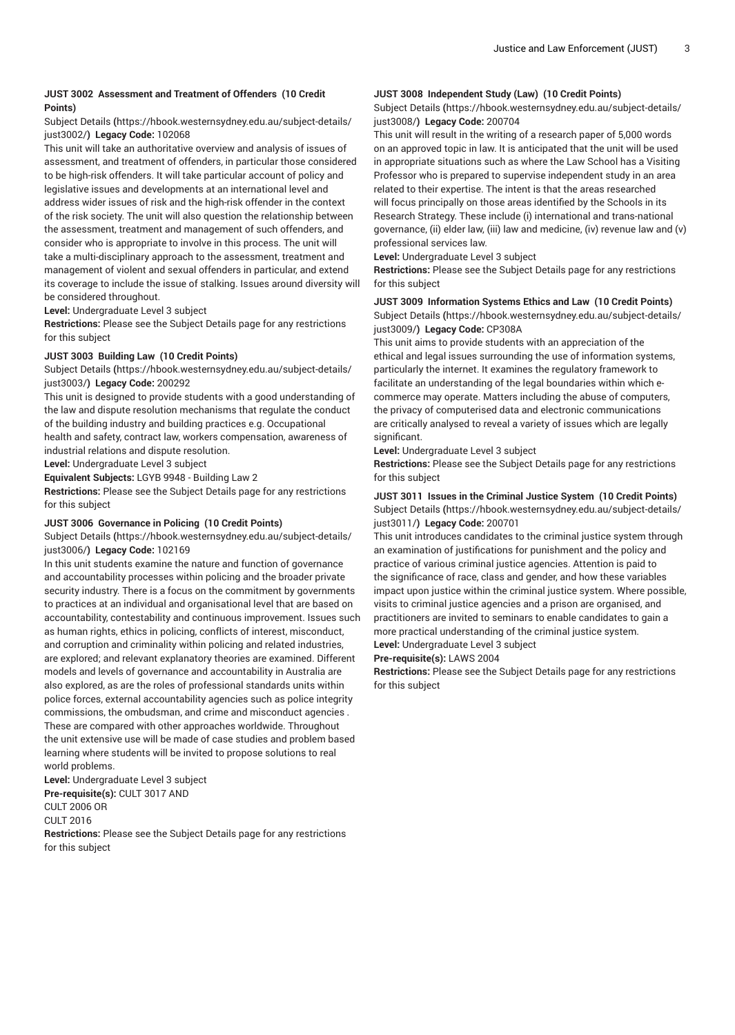# **JUST 3002 Assessment and Treatment of Offenders (10 Credit Points)**

#### [Subject Details](https://hbook.westernsydney.edu.au/subject-details/just3002/) **(**[https://hbook.westernsydney.edu.au/subject-details/](https://hbook.westernsydney.edu.au/subject-details/just3002/) [just3002/](https://hbook.westernsydney.edu.au/subject-details/just3002/)**) Legacy Code:** 102068

This unit will take an authoritative overview and analysis of issues of assessment, and treatment of offenders, in particular those considered to be high-risk offenders. It will take particular account of policy and legislative issues and developments at an international level and address wider issues of risk and the high-risk offender in the context of the risk society. The unit will also question the relationship between the assessment, treatment and management of such offenders, and consider who is appropriate to involve in this process. The unit will take a multi-disciplinary approach to the assessment, treatment and management of violent and sexual offenders in particular, and extend its coverage to include the issue of stalking. Issues around diversity will be considered throughout.

**Level:** Undergraduate Level 3 subject

**Restrictions:** Please see the Subject Details page for any restrictions for this subject

# **JUST 3003 Building Law (10 Credit Points)**

[Subject Details](https://hbook.westernsydney.edu.au/subject-details/just3003/) **(**[https://hbook.westernsydney.edu.au/subject-details/](https://hbook.westernsydney.edu.au/subject-details/just3003/) [just3003/](https://hbook.westernsydney.edu.au/subject-details/just3003/)**) Legacy Code:** 200292

This unit is designed to provide students with a good understanding of the law and dispute resolution mechanisms that regulate the conduct of the building industry and building practices e.g. Occupational health and safety, contract law, workers compensation, awareness of industrial relations and dispute resolution.

**Level:** Undergraduate Level 3 subject

**Equivalent Subjects:** LGYB 9948 - Building Law 2

**Restrictions:** Please see the Subject Details page for any restrictions for this subject

#### **JUST 3006 Governance in Policing (10 Credit Points)**

[Subject Details](https://hbook.westernsydney.edu.au/subject-details/just3006/) **(**[https://hbook.westernsydney.edu.au/subject-details/](https://hbook.westernsydney.edu.au/subject-details/just3006/) [just3006/](https://hbook.westernsydney.edu.au/subject-details/just3006/)**) Legacy Code:** 102169

In this unit students examine the nature and function of governance and accountability processes within policing and the broader private security industry. There is a focus on the commitment by governments to practices at an individual and organisational level that are based on accountability, contestability and continuous improvement. Issues such as human rights, ethics in policing, conflicts of interest, misconduct, and corruption and criminality within policing and related industries, are explored; and relevant explanatory theories are examined. Different models and levels of governance and accountability in Australia are also explored, as are the roles of professional standards units within police forces, external accountability agencies such as police integrity commissions, the ombudsman, and crime and misconduct agencies . These are compared with other approaches worldwide. Throughout the unit extensive use will be made of case studies and problem based learning where students will be invited to propose solutions to real world problems.

**Level:** Undergraduate Level 3 subject **Pre-requisite(s):** CULT 3017 AND CULT 2006 OR

CULT 2016

**Restrictions:** Please see the Subject Details page for any restrictions for this subject

# **JUST 3008 Independent Study (Law) (10 Credit Points)**

[Subject Details](https://hbook.westernsydney.edu.au/subject-details/just3008/) **(**[https://hbook.westernsydney.edu.au/subject-details/](https://hbook.westernsydney.edu.au/subject-details/just3008/) [just3008/](https://hbook.westernsydney.edu.au/subject-details/just3008/)**) Legacy Code:** 200704

This unit will result in the writing of a research paper of 5,000 words on an approved topic in law. It is anticipated that the unit will be used in appropriate situations such as where the Law School has a Visiting Professor who is prepared to supervise independent study in an area related to their expertise. The intent is that the areas researched will focus principally on those areas identified by the Schools in its Research Strategy. These include (i) international and trans-national governance, (ii) elder law, (iii) law and medicine, (iv) revenue law and (v) professional services law.

**Level:** Undergraduate Level 3 subject

**Restrictions:** Please see the Subject Details page for any restrictions for this subject

# **JUST 3009 Information Systems Ethics and Law (10 Credit Points)** [Subject Details](https://hbook.westernsydney.edu.au/subject-details/just3009/) **(**[https://hbook.westernsydney.edu.au/subject-details/](https://hbook.westernsydney.edu.au/subject-details/just3009/) [just3009/](https://hbook.westernsydney.edu.au/subject-details/just3009/)**) Legacy Code:** CP308A

This unit aims to provide students with an appreciation of the ethical and legal issues surrounding the use of information systems, particularly the internet. It examines the regulatory framework to facilitate an understanding of the legal boundaries within which ecommerce may operate. Matters including the abuse of computers, the privacy of computerised data and electronic communications are critically analysed to reveal a variety of issues which are legally significant.

**Level:** Undergraduate Level 3 subject

**Restrictions:** Please see the Subject Details page for any restrictions for this subject

## **JUST 3011 Issues in the Criminal Justice System (10 Credit Points)** [Subject Details](https://hbook.westernsydney.edu.au/subject-details/just3011/) **(**[https://hbook.westernsydney.edu.au/subject-details/](https://hbook.westernsydney.edu.au/subject-details/just3011/) [just3011/](https://hbook.westernsydney.edu.au/subject-details/just3011/)**) Legacy Code:** 200701

This unit introduces candidates to the criminal justice system through an examination of justifications for punishment and the policy and practice of various criminal justice agencies. Attention is paid to the significance of race, class and gender, and how these variables impact upon justice within the criminal justice system. Where possible, visits to criminal justice agencies and a prison are organised, and practitioners are invited to seminars to enable candidates to gain a more practical understanding of the criminal justice system. **Level:** Undergraduate Level 3 subject

**Pre-requisite(s):** LAWS 2004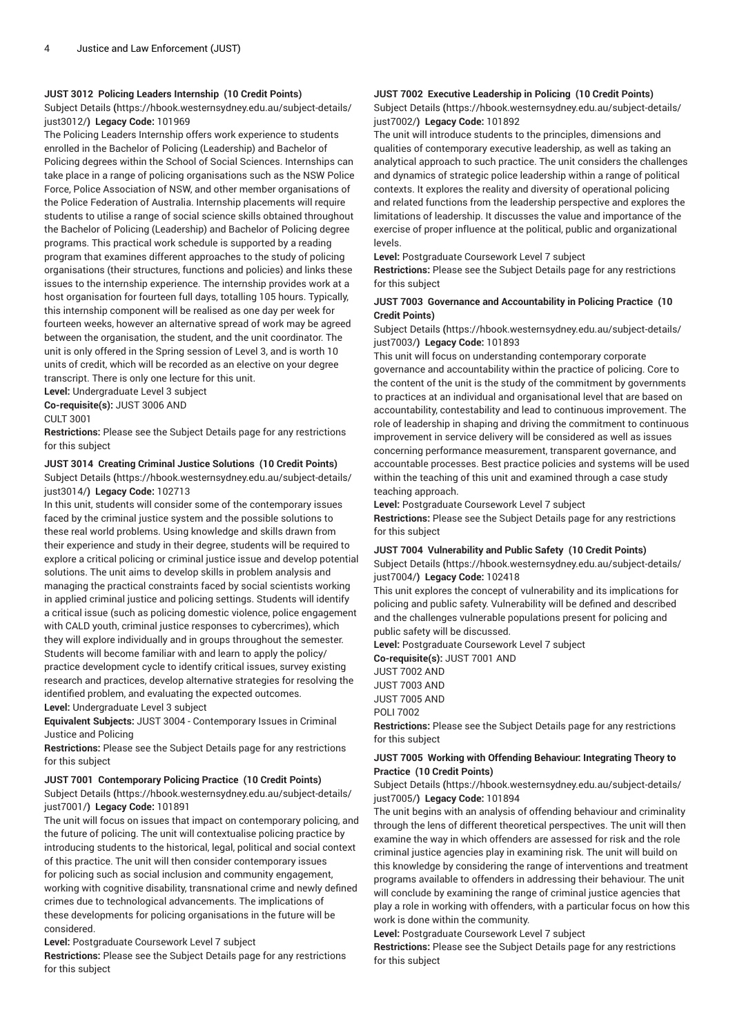# **JUST 3012 Policing Leaders Internship (10 Credit Points)**

[Subject Details](https://hbook.westernsydney.edu.au/subject-details/just3012/) **(**[https://hbook.westernsydney.edu.au/subject-details/](https://hbook.westernsydney.edu.au/subject-details/just3012/) [just3012/](https://hbook.westernsydney.edu.au/subject-details/just3012/)**) Legacy Code:** 101969

The Policing Leaders Internship offers work experience to students enrolled in the Bachelor of Policing (Leadership) and Bachelor of Policing degrees within the School of Social Sciences. Internships can take place in a range of policing organisations such as the NSW Police Force, Police Association of NSW, and other member organisations of the Police Federation of Australia. Internship placements will require students to utilise a range of social science skills obtained throughout the Bachelor of Policing (Leadership) and Bachelor of Policing degree programs. This practical work schedule is supported by a reading program that examines different approaches to the study of policing organisations (their structures, functions and policies) and links these issues to the internship experience. The internship provides work at a host organisation for fourteen full days, totalling 105 hours. Typically, this internship component will be realised as one day per week for fourteen weeks, however an alternative spread of work may be agreed between the organisation, the student, and the unit coordinator. The unit is only offered in the Spring session of Level 3, and is worth 10 units of credit, which will be recorded as an elective on your degree transcript. There is only one lecture for this unit.

**Level:** Undergraduate Level 3 subject **Co-requisite(s):** JUST 3006 AND

CULT 3001

**Restrictions:** Please see the Subject Details page for any restrictions for this subject

#### **JUST 3014 Creating Criminal Justice Solutions (10 Credit Points)**

[Subject Details](https://hbook.westernsydney.edu.au/subject-details/just3014/) **(**[https://hbook.westernsydney.edu.au/subject-details/](https://hbook.westernsydney.edu.au/subject-details/just3014/) [just3014/](https://hbook.westernsydney.edu.au/subject-details/just3014/)**) Legacy Code:** 102713

In this unit, students will consider some of the contemporary issues faced by the criminal justice system and the possible solutions to these real world problems. Using knowledge and skills drawn from their experience and study in their degree, students will be required to explore a critical policing or criminal justice issue and develop potential solutions. The unit aims to develop skills in problem analysis and managing the practical constraints faced by social scientists working in applied criminal justice and policing settings. Students will identify a critical issue (such as policing domestic violence, police engagement with CALD youth, criminal justice responses to cybercrimes), which they will explore individually and in groups throughout the semester. Students will become familiar with and learn to apply the policy/ practice development cycle to identify critical issues, survey existing research and practices, develop alternative strategies for resolving the identified problem, and evaluating the expected outcomes. **Level:** Undergraduate Level 3 subject

**Equivalent Subjects:** JUST 3004 - Contemporary Issues in Criminal Justice and Policing

**Restrictions:** Please see the Subject Details page for any restrictions for this subject

# **JUST 7001 Contemporary Policing Practice (10 Credit Points)**

[Subject Details](https://hbook.westernsydney.edu.au/subject-details/just7001/) **(**[https://hbook.westernsydney.edu.au/subject-details/](https://hbook.westernsydney.edu.au/subject-details/just7001/) [just7001/](https://hbook.westernsydney.edu.au/subject-details/just7001/)**) Legacy Code:** 101891

The unit will focus on issues that impact on contemporary policing, and the future of policing. The unit will contextualise policing practice by introducing students to the historical, legal, political and social context of this practice. The unit will then consider contemporary issues for policing such as social inclusion and community engagement, working with cognitive disability, transnational crime and newly defined crimes due to technological advancements. The implications of these developments for policing organisations in the future will be considered.

**Level:** Postgraduate Coursework Level 7 subject

**Restrictions:** Please see the Subject Details page for any restrictions for this subject

# **JUST 7002 Executive Leadership in Policing (10 Credit Points)**

[Subject Details](https://hbook.westernsydney.edu.au/subject-details/just7002/) **(**[https://hbook.westernsydney.edu.au/subject-details/](https://hbook.westernsydney.edu.au/subject-details/just7002/) [just7002/](https://hbook.westernsydney.edu.au/subject-details/just7002/)**) Legacy Code:** 101892

The unit will introduce students to the principles, dimensions and qualities of contemporary executive leadership, as well as taking an analytical approach to such practice. The unit considers the challenges and dynamics of strategic police leadership within a range of political contexts. It explores the reality and diversity of operational policing and related functions from the leadership perspective and explores the limitations of leadership. It discusses the value and importance of the exercise of proper influence at the political, public and organizational levels.

**Level:** Postgraduate Coursework Level 7 subject

**Restrictions:** Please see the Subject Details page for any restrictions for this subject

## **JUST 7003 Governance and Accountability in Policing Practice (10 Credit Points)**

[Subject Details](https://hbook.westernsydney.edu.au/subject-details/just7003/) **(**[https://hbook.westernsydney.edu.au/subject-details/](https://hbook.westernsydney.edu.au/subject-details/just7003/) [just7003/](https://hbook.westernsydney.edu.au/subject-details/just7003/)**) Legacy Code:** 101893

This unit will focus on understanding contemporary corporate governance and accountability within the practice of policing. Core to the content of the unit is the study of the commitment by governments to practices at an individual and organisational level that are based on accountability, contestability and lead to continuous improvement. The role of leadership in shaping and driving the commitment to continuous improvement in service delivery will be considered as well as issues concerning performance measurement, transparent governance, and accountable processes. Best practice policies and systems will be used within the teaching of this unit and examined through a case study teaching approach.

**Level:** Postgraduate Coursework Level 7 subject **Restrictions:** Please see the Subject Details page for any restrictions for this subject

#### **JUST 7004 Vulnerability and Public Safety (10 Credit Points)**

[Subject Details](https://hbook.westernsydney.edu.au/subject-details/just7004/) **(**[https://hbook.westernsydney.edu.au/subject-details/](https://hbook.westernsydney.edu.au/subject-details/just7004/) [just7004/](https://hbook.westernsydney.edu.au/subject-details/just7004/)**) Legacy Code:** 102418

This unit explores the concept of vulnerability and its implications for policing and public safety. Vulnerability will be defined and described and the challenges vulnerable populations present for policing and public safety will be discussed.

**Level:** Postgraduate Coursework Level 7 subject **Co-requisite(s):** JUST 7001 AND

JUST 7002 AND JUST 7003 AND

JUST 7005 AND

POLI 7002

**Restrictions:** Please see the Subject Details page for any restrictions for this subject

#### **JUST 7005 Working with Offending Behaviour: Integrating Theory to Practice (10 Credit Points)**

[Subject Details](https://hbook.westernsydney.edu.au/subject-details/just7005/) **(**[https://hbook.westernsydney.edu.au/subject-details/](https://hbook.westernsydney.edu.au/subject-details/just7005/) [just7005/](https://hbook.westernsydney.edu.au/subject-details/just7005/)**) Legacy Code:** 101894

The unit begins with an analysis of offending behaviour and criminality through the lens of different theoretical perspectives. The unit will then examine the way in which offenders are assessed for risk and the role criminal justice agencies play in examining risk. The unit will build on this knowledge by considering the range of interventions and treatment programs available to offenders in addressing their behaviour. The unit will conclude by examining the range of criminal justice agencies that play a role in working with offenders, with a particular focus on how this work is done within the community.

**Level:** Postgraduate Coursework Level 7 subject